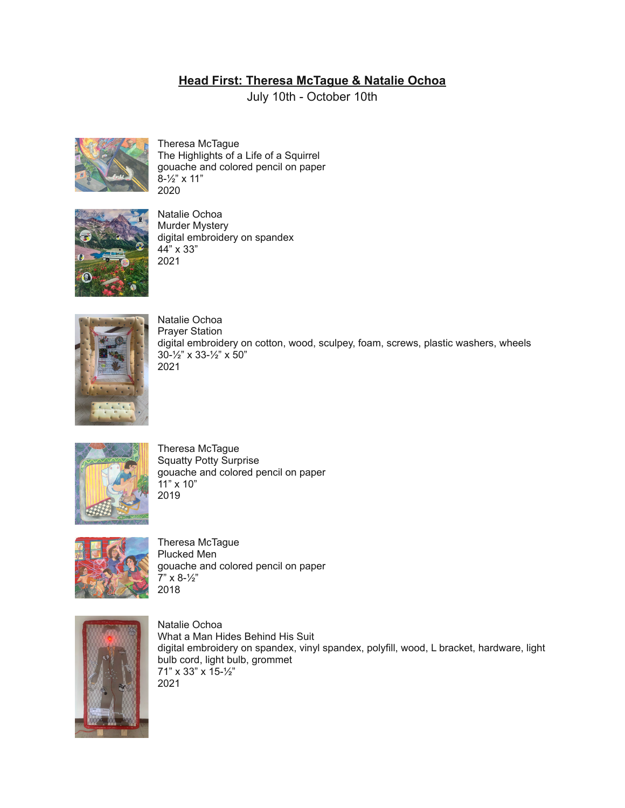## **Head First: Theresa McTague & Natalie Ochoa**

July 10th - October 10th



Theresa McTague The Highlights of a Life of a Squirrel gouache and colored pencil on paper 8-½" x 11" 2020



Natalie Ochoa Murder Mystery digital embroidery on spandex 44" x 33" 2021



Natalie Ochoa Prayer Station digital embroidery on cotton, wood, sculpey, foam, screws, plastic washers, wheels 30-½" x 33-½" x 50" 2021



Theresa McTague Squatty Potty Surprise gouache and colored pencil on paper 11" x 10" 2019



Theresa McTague Plucked Men gouache and colored pencil on paper 7" x 8-½" 2018



Natalie Ochoa What a Man Hides Behind His Suit digital embroidery on spandex, vinyl spandex, polyfill, wood, L bracket, hardware, light bulb cord, light bulb, grommet 71" x 33" x 15-½" 2021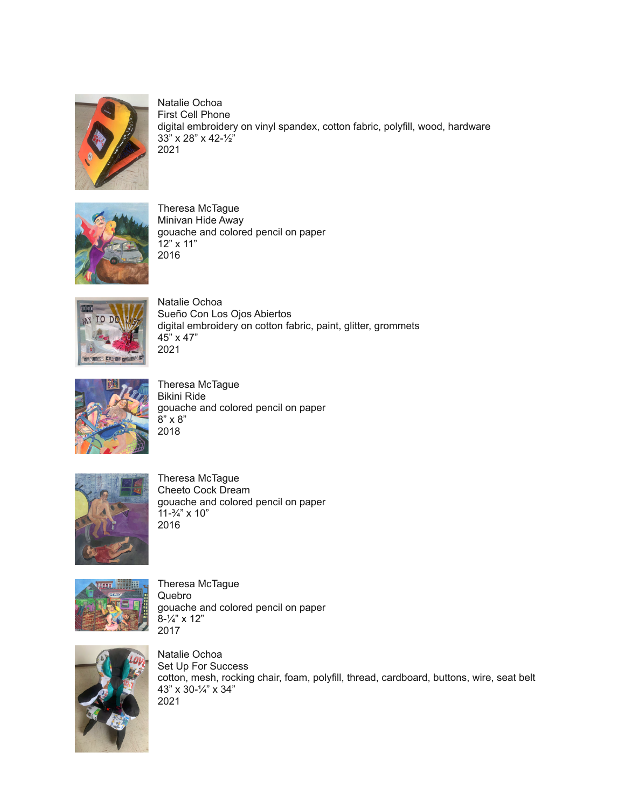

Natalie Ochoa First Cell Phone digital embroidery on vinyl spandex, cotton fabric, polyfill, wood, hardware 33" x 28" x 42-½" 2021



Theresa McTague Minivan Hide Away gouache and colored pencil on paper 12" x 11" 2016



Natalie Ochoa Sueño Con Los Ojos Abiertos digital embroidery on cotton fabric, paint, glitter, grommets 45" x 47" 2021



Theresa McTague Bikini Ride gouache and colored pencil on paper 8" x 8" 2018



Theresa McTague Cheeto Cock Dream gouache and colored pencil on paper 11-¾" x 10" 2016



Theresa McTague Quebro gouache and colored pencil on paper 8-¼" x 12" 2017



Natalie Ochoa Set Up For Success cotton, mesh, rocking chair, foam, polyfill, thread, cardboard, buttons, wire, seat belt 43" x 30-¼" x 34" 2021